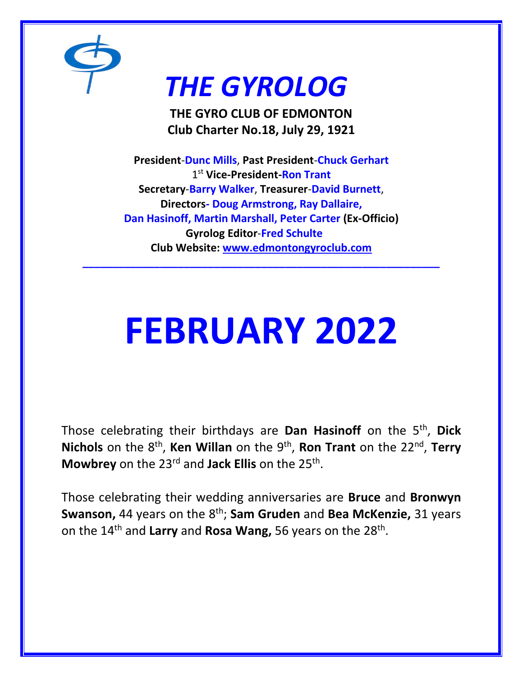

# *THE GYROLOG*

**THE GYRO CLUB OF EDMONTON Club Charter No.18, July 29, 1921**

**President**-**Dunc Mills**, **Past President**-**Chuck Gerhart** 1 st **Vice-President-Ron Trant Secretary**-**Barry Walker**, **Treasurer**-**David Burnett**, **Directors- Doug Armstrong, Ray Dallaire, Dan Hasinoff, Martin Marshall, Peter Carter (Ex-Officio) Gyrolog Editor**-**Fred Schulte Club Website: [www.edmontongyroclub.com](http://www.edmontongyroclub.com/)**

**\_\_\_\_\_\_\_\_\_\_\_\_\_\_\_\_\_\_\_\_\_\_\_\_\_\_\_\_\_\_\_\_\_\_\_\_\_\_\_\_\_\_\_\_\_\_\_\_\_\_\_\_\_\_\_\_\_\_\_\_**

# **FEBRUARY 2022**

Those celebrating their birthdays are **Dan Hasinoff** on the 5th , **Dick**  Nichols on the 8<sup>th</sup>, Ken Willan on the 9<sup>th</sup>, Ron Trant on the 22<sup>nd</sup>, Terry **Mowbrey** on the 23rd and **Jack Ellis** on the 25th .

Those celebrating their wedding anniversaries are **Bruce** and **Bronwyn Swanson,** 44 years on the 8<sup>th</sup>; **Sam Gruden** and **Bea McKenzie,** 31 years on the 14<sup>th</sup> and Larry and Rosa Wang, 56 years on the 28<sup>th</sup>.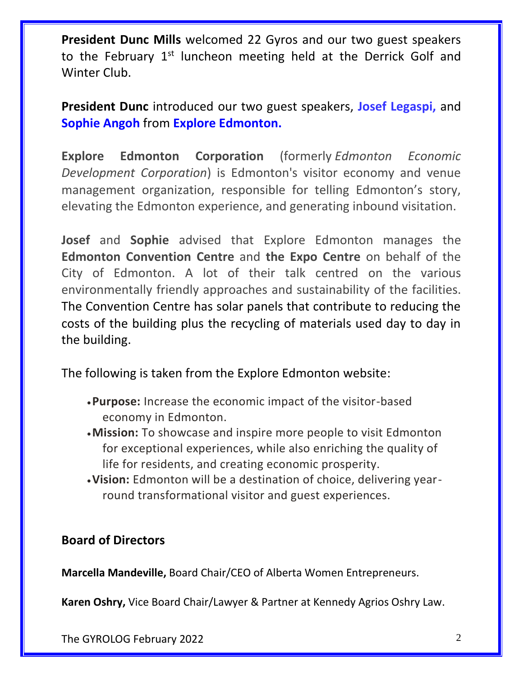**President Dunc Mills** welcomed 22 Gyros and our two guest speakers to the February  $1<sup>st</sup>$  luncheon meeting held at the Derrick Golf and Winter Club.

**President Dunc** introduced our two guest speakers, **Josef Legaspi,** and **Sophie Angoh** from **Explore Edmonton.**

**Explore Edmonton Corporation** (formerly *Edmonton Economic Development Corporation*) is Edmonton's visitor economy and venue management organization, responsible for telling Edmonton's story, elevating the Edmonton experience, and generating inbound visitation.

**Josef** and **Sophie** advised that Explore Edmonton manages the **Edmonton Convention Centre** and **the Expo Centre** on behalf of the City of Edmonton. A lot of their talk centred on the various environmentally friendly approaches and sustainability of the facilities. The Convention Centre has solar panels that contribute to reducing the costs of the building plus the recycling of materials used day to day in the building.

The following is taken from the Explore Edmonton website:

- •**Purpose:** Increase the economic impact of the visitor-based economy in Edmonton.
- •**Mission:** To showcase and inspire more people to visit Edmonton for exceptional experiences, while also enriching the quality of life for residents, and creating economic prosperity.
- •**Vision:** Edmonton will be a destination of choice, delivering yearround transformational visitor and guest experiences.

## **Board of Directors**

**Marcella Mandeville,** Board Chair/CEO of Alberta Women Entrepreneurs.

**Karen Oshry,** Vice Board Chair/Lawyer & Partner at Kennedy Agrios Oshry Law.

The GYROLOG February 2022 2001 2022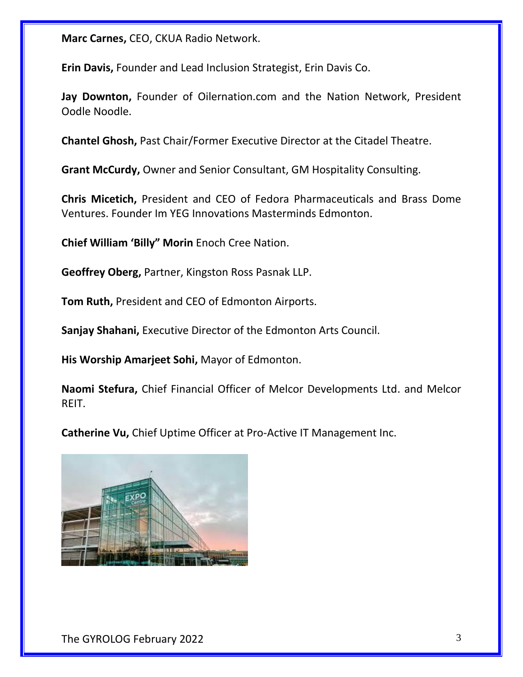**Marc Carnes,** CEO, CKUA Radio Network.

**Erin Davis,** Founder and Lead Inclusion Strategist, Erin Davis Co.

**Jay Downton,** Founder of Oilernation.com and the Nation Network, President Oodle Noodle.

**Chantel Ghosh,** Past Chair/Former Executive Director at the Citadel Theatre.

**Grant McCurdy,** Owner and Senior Consultant, GM Hospitality Consulting.

**Chris Micetich,** President and CEO of Fedora Pharmaceuticals and Brass Dome Ventures. Founder Im YEG Innovations Masterminds Edmonton.

**Chief William 'Billy" Morin** Enoch Cree Nation.

**Geoffrey Oberg,** Partner, Kingston Ross Pasnak LLP.

**Tom Ruth,** President and CEO of Edmonton Airports.

**Sanjay Shahani,** Executive Director of the Edmonton Arts Council.

**His Worship Amarjeet Sohi,** Mayor of Edmonton.

**Naomi Stefura,** Chief Financial Officer of Melcor Developments Ltd. and Melcor REIT.

**Catherine Vu,** Chief Uptime Officer at Pro-Active IT Management Inc.

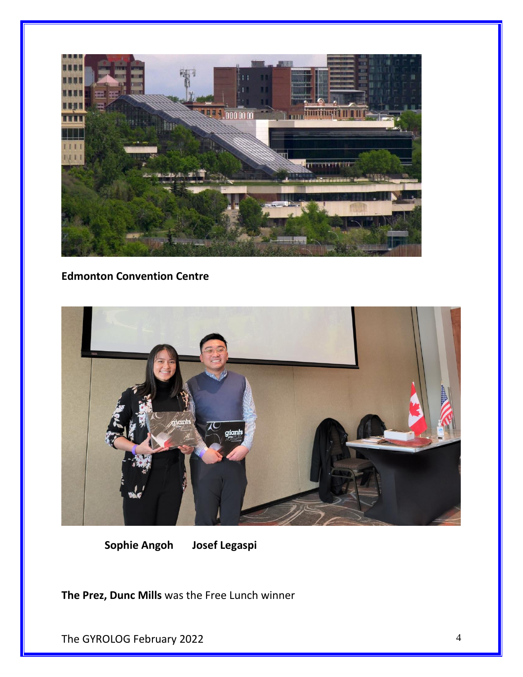

#### **Edmonton Convention Centre**



 **Sophie Angoh Josef Legaspi**

**The Prez, Dunc Mills** was the Free Lunch winner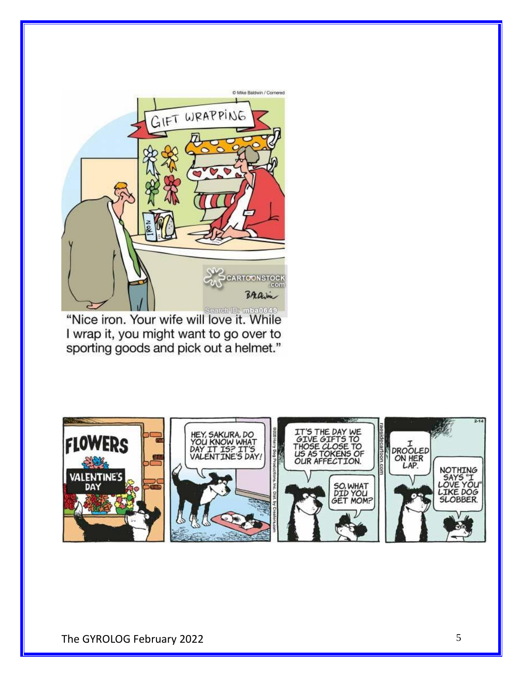

**Example 1999 1999 1999 Second Development 4.**<br>"Nice iron. Your wife will love it. While I wrap it, you might want to go over to sporting goods and pick out a helmet."

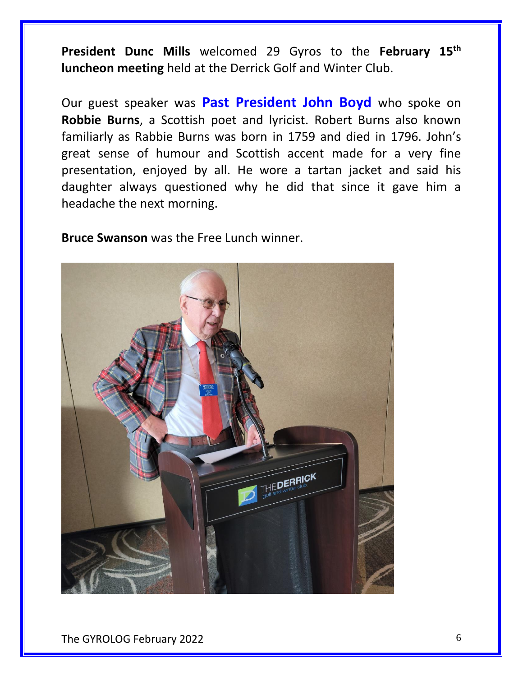**President Dunc Mills** welcomed 29 Gyros to the **February 15th luncheon meeting** held at the Derrick Golf and Winter Club.

Our guest speaker was **Past President John Boyd** who spoke on **Robbie Burns**, a Scottish poet and lyricist. Robert Burns also known familiarly as Rabbie Burns was born in 1759 and died in 1796. John's great sense of humour and Scottish accent made for a very fine presentation, enjoyed by all. He wore a tartan jacket and said his daughter always questioned why he did that since it gave him a headache the next morning.

**Bruce Swanson** was the Free Lunch winner.

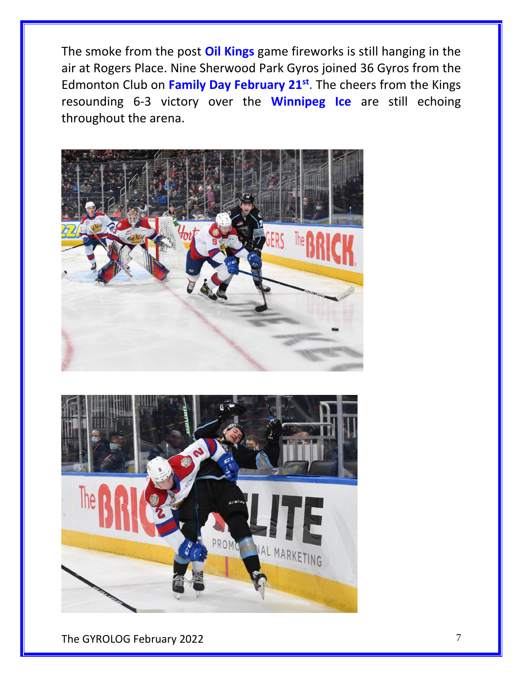The smoke from the post **Oil Kings** game fireworks is still hanging in the air at Rogers Place. Nine Sherwood Park Gyros joined 36 Gyros from the Edmonton Club on **Family Day February 21st** . The cheers from the Kings resounding 6-3 victory over the **Winnipeg Ice** are still echoing throughout the arena.





The GYROLOG February 2022 7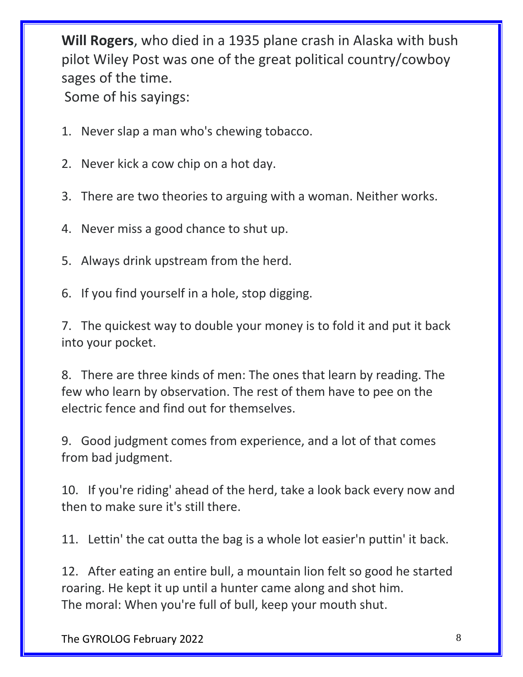**Will Rogers**, who died in a 1935 plane crash in Alaska with bush pilot Wiley Post was one of the great political country/cowboy sages of the time. Some of his sayings:

- 1. Never slap a man who's chewing tobacco.
- 2. Never kick a cow chip on a hot day.
- 3. There are two theories to arguing with a woman. Neither works.
- 4. Never miss a good chance to shut up.
- 5. Always drink upstream from the herd.
- 6. If you find yourself in a hole, stop digging.

7. The quickest way to double your money is to fold it and put it back into your pocket.

8. There are three kinds of men: The ones that learn by reading. The few who learn by observation. The rest of them have to pee on the electric fence and find out for themselves.

9. Good judgment comes from experience, and a lot of that comes from bad judgment.

10. If you're riding' ahead of the herd, take a look back every now and then to make sure it's still there.

11. Lettin' the cat outta the bag is a whole lot easier'n puttin' it back.

12. After eating an entire bull, a mountain lion felt so good he started roaring. He kept it up until a hunter came along and shot him. The moral: When you're full of bull, keep your mouth shut.

The GYROLOG February 2022 8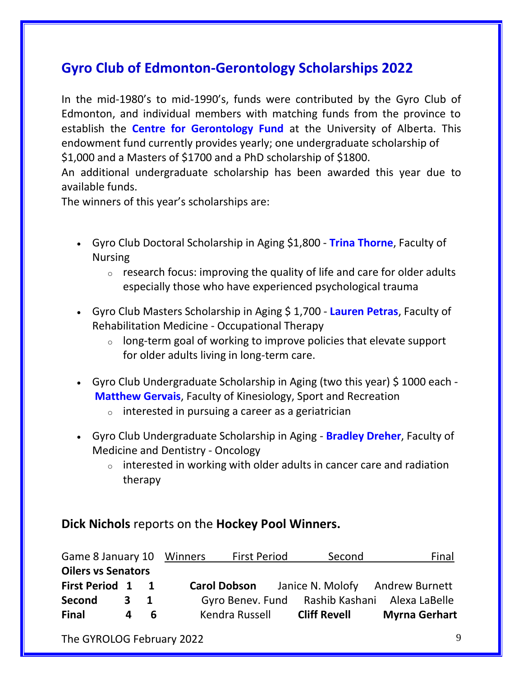# **Gyro Club of Edmonton-Gerontology Scholarships 2022**

In the mid-1980's to mid-1990's, funds were contributed by the Gyro Club of Edmonton, and individual members with matching funds from the province to establish the **Centre for Gerontology Fund** at the University of Alberta. This endowment fund currently provides yearly; one undergraduate scholarship of \$1,000 and a Masters of \$1700 and a PhD scholarship of \$1800.

An additional undergraduate scholarship has been awarded this year due to available funds.

The winners of this year's scholarships are:

- Gyro Club Doctoral Scholarship in Aging \$1,800 **Trina Thorne**, Faculty of Nursing
	- $\circ$  research focus: improving the quality of life and care for older adults especially those who have experienced psychological trauma
- Gyro Club Masters Scholarship in Aging \$ 1,700 **Lauren Petras**, Faculty of Rehabilitation Medicine - Occupational Therapy
	- $\circ$  long-term goal of working to improve policies that elevate support for older adults living in long-term care.
- Gyro Club Undergraduate Scholarship in Aging (two this year) \$1000 each -**Matthew Gervais**, Faculty of Kinesiology, Sport and Recreation
	- $\circ$  interested in pursuing a career as a geriatrician
- Gyro Club Undergraduate Scholarship in Aging **Bradley Dreher**, Faculty of Medicine and Dentistry - Oncology
	- $\circ$  interested in working with older adults in cancer care and radiation therapy

#### **Dick Nichols** reports on the **Hockey Pool Winners.**

| Game 8 January 10 Winners |   |                | <b>First Period</b> |                  | Second              | Final                           |
|---------------------------|---|----------------|---------------------|------------------|---------------------|---------------------------------|
| <b>Oilers vs Senators</b> |   |                |                     |                  |                     |                                 |
| <b>First Period 1</b>     |   | $\blacksquare$ | <b>Carol Dobson</b> |                  |                     | Janice N. Molofy Andrew Burnett |
| Second                    | 3 | -1             |                     | Gyro Benev. Fund |                     | Rashib Kashani Alexa LaBelle    |
| <b>Final</b>              | 4 | 6              |                     | Kendra Russell   | <b>Cliff Revell</b> | <b>Myrna Gerhart</b>            |

The GYROLOG February 2022 9